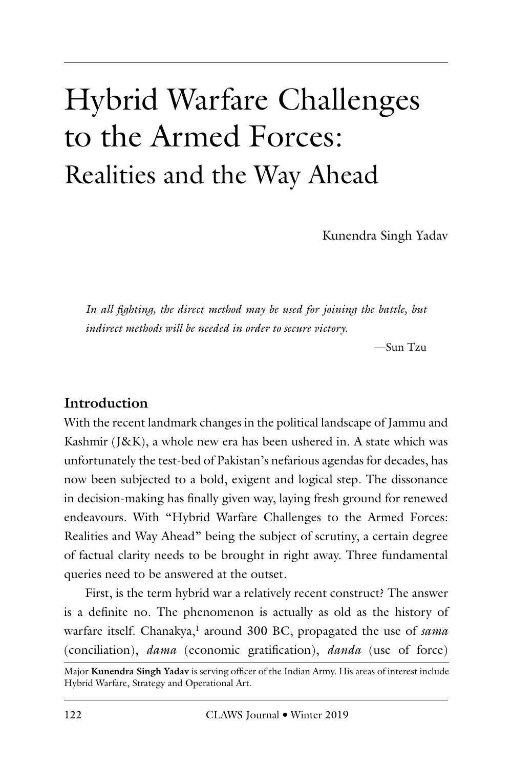# Hybrid Warfare Challenges to the Armed Forces: Realities and the Way Ahead

Kunendra Singh Yadav

In all fighting, the direct method may be used for joining the battle, but *indirect methods will be needed in order to secure victory.*

—Sun Tzu

### **Introduction**

With the recent landmark changes in the political landscape of Jammu and Kashmir (J&K), a whole new era has been ushered in. A state which was unfortunately the test-bed of Pakistan's nefarious agendas for decades, has now been subjected to a bold, exigent and logical step. The dissonance in decision-making has finally given way, laying fresh ground for renewed endeavours. With "Hybrid Warfare Challenges to the Armed Forces: Realities and Way Ahead" being the subject of scrutiny, a certain degree of factual clarity needs to be brought in right away. Three fundamental queries need to be answered at the outset.

First, is the term hybrid war a relatively recent construct? The answer is a definite no. The phenomenon is actually as old as the history of warfare itself. Chanakya,<sup>1</sup> around 300 BC, propagated the use of *sama* (conciliation), *dama* (economic gratification), *danda* (use of force)

Major **Kunendra Singh Yadav** is serving officer of the Indian Army. His areas of interest include Hybrid Warfare, Strategy and Operational Art.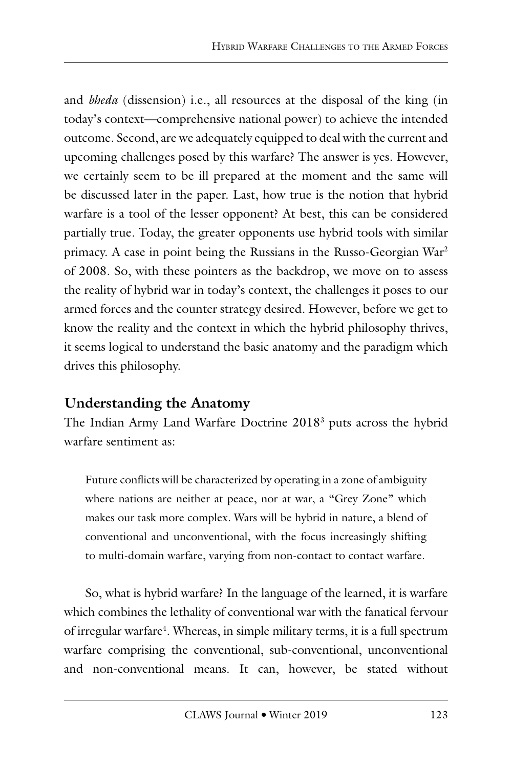and *bheda* (dissension) i.e., all resources at the disposal of the king (in today's context—comprehensive national power) to achieve the intended outcome. Second, are we adequately equipped to deal with the current and upcoming challenges posed by this warfare? The answer is yes. However, we certainly seem to be ill prepared at the moment and the same will be discussed later in the paper. Last, how true is the notion that hybrid warfare is a tool of the lesser opponent? At best, this can be considered partially true. Today, the greater opponents use hybrid tools with similar primacy. A case in point being the Russians in the Russo-Georgian War2 of 2008. So, with these pointers as the backdrop, we move on to assess the reality of hybrid war in today's context, the challenges it poses to our armed forces and the counter strategy desired. However, before we get to know the reality and the context in which the hybrid philosophy thrives, it seems logical to understand the basic anatomy and the paradigm which drives this philosophy.

# **Understanding the Anatomy**

The Indian Army Land Warfare Doctrine 20183 puts across the hybrid warfare sentiment as:

Future conflicts will be characterized by operating in a zone of ambiguity where nations are neither at peace, nor at war, a "Grey Zone" which makes our task more complex. Wars will be hybrid in nature, a blend of conventional and unconventional, with the focus increasingly shifting to multi-domain warfare, varying from non-contact to contact warfare.

So, what is hybrid warfare? In the language of the learned, it is warfare which combines the lethality of conventional war with the fanatical fervour of irregular warfare4 . Whereas, in simple military terms, it is a full spectrum warfare comprising the conventional, sub-conventional, unconventional and non-conventional means. It can, however, be stated without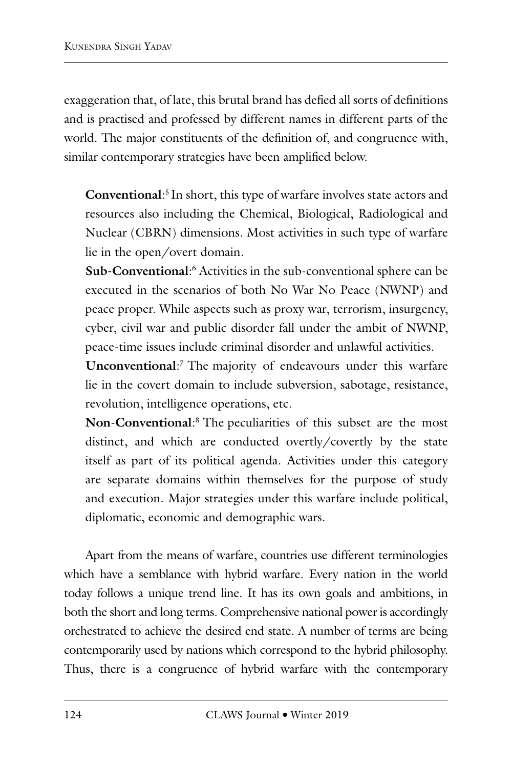exaggeration that, of late, this brutal brand has defied all sorts of definitions and is practised and professed by different names in different parts of the world. The major constituents of the definition of, and congruence with, similar contemporary strategies have been amplified below.

**Conventional**: 5 In short, this type of warfare involves state actors and resources also including the Chemical, Biological, Radiological and Nuclear (CBRN) dimensions. Most activities in such type of warfare lie in the open/overt domain.

Sub-Conventional:<sup>6</sup> Activities in the sub-conventional sphere can be executed in the scenarios of both No War No Peace (NWNP) and peace proper. While aspects such as proxy war, terrorism, insurgency, cyber, civil war and public disorder fall under the ambit of NWNP, peace-time issues include criminal disorder and unlawful activities.

**Unconventional**: 7 The majority of endeavours under this warfare lie in the covert domain to include subversion, sabotage, resistance, revolution, intelligence operations, etc.

**Non-Conventional**: 8 The peculiarities of this subset are the most distinct, and which are conducted overtly/covertly by the state itself as part of its political agenda. Activities under this category are separate domains within themselves for the purpose of study and execution. Major strategies under this warfare include political, diplomatic, economic and demographic wars.

Apart from the means of warfare, countries use different terminologies which have a semblance with hybrid warfare. Every nation in the world today follows a unique trend line. It has its own goals and ambitions, in both the short and long terms. Comprehensive national power is accordingly orchestrated to achieve the desired end state. A number of terms are being contemporarily used by nations which correspond to the hybrid philosophy. Thus, there is a congruence of hybrid warfare with the contemporary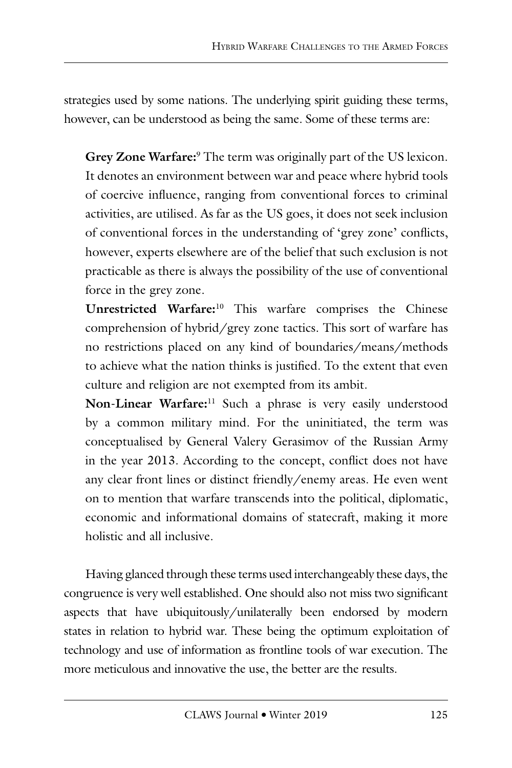strategies used by some nations. The underlying spirit guiding these terms, however, can be understood as being the same. Some of these terms are:

Grey Zone Warfare:<sup>9</sup> The term was originally part of the US lexicon. It denotes an environment between war and peace where hybrid tools of coercive influence, ranging from conventional forces to criminal activities, are utilised. As far as the US goes, it does not seek inclusion of conventional forces in the understanding of 'grey zone' conflicts, however, experts elsewhere are of the belief that such exclusion is not practicable as there is always the possibility of the use of conventional force in the grey zone.

**Unrestricted Warfare:**10 This warfare comprises the Chinese comprehension of hybrid/grey zone tactics. This sort of warfare has no restrictions placed on any kind of boundaries/means/methods to achieve what the nation thinks is justified. To the extent that even culture and religion are not exempted from its ambit.

**Non-Linear Warfare:**11 Such a phrase is very easily understood by a common military mind. For the uninitiated, the term was conceptualised by General Valery Gerasimov of the Russian Army in the year 2013. According to the concept, conflict does not have any clear front lines or distinct friendly/enemy areas. He even went on to mention that warfare transcends into the political, diplomatic, economic and informational domains of statecraft, making it more holistic and all inclusive.

Having glanced through these terms used interchangeably these days, the congruence is very well established. One should also not miss two significant aspects that have ubiquitously/unilaterally been endorsed by modern states in relation to hybrid war. These being the optimum exploitation of technology and use of information as frontline tools of war execution. The more meticulous and innovative the use, the better are the results.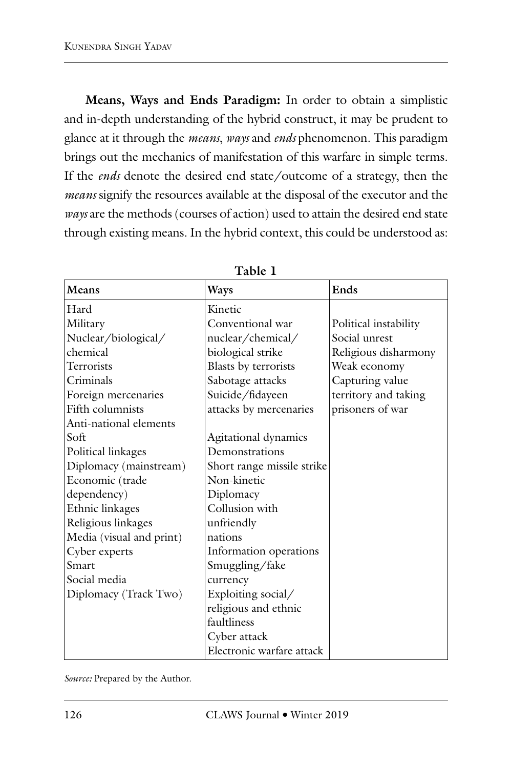**Means, Ways and Ends Paradigm:** In order to obtain a simplistic and in-depth understanding of the hybrid construct, it may be prudent to glance at it through the *means*, *ways* and *ends* phenomenon. This paradigm brings out the mechanics of manifestation of this warfare in simple terms. If the *ends* denote the desired end state/outcome of a strategy, then the *means* signify the resources available at the disposal of the executor and the *ways* are the methods (courses of action) used to attain the desired end state through existing means. In the hybrid context, this could be understood as:

| Means                    | <b>Ways</b>                | Ends                  |
|--------------------------|----------------------------|-----------------------|
| Hard                     | Kinetic                    |                       |
| Military                 | Conventional war           | Political instability |
| Nuclear/biological/      | nuclear/chemical/          | Social unrest         |
| chemical                 | biological strike          | Religious disharmony  |
| Terrorists               | Blasts by terrorists       | Weak economy          |
| Criminals                | Sabotage attacks           | Capturing value       |
| Foreign mercenaries      | Suicide/fidayeen           | territory and taking  |
| Fifth columnists         | attacks by mercenaries     | prisoners of war      |
| Anti-national elements   |                            |                       |
| Soft                     | Agitational dynamics       |                       |
| Political linkages       | Demonstrations             |                       |
| Diplomacy (mainstream)   | Short range missile strike |                       |
| Economic (trade          | Non-kinetic                |                       |
| dependency)              | Diplomacy                  |                       |
| Ethnic linkages          | Collusion with             |                       |
| Religious linkages       | unfriendly                 |                       |
| Media (visual and print) | nations                    |                       |
| Cyber experts            | Information operations     |                       |
| Smart                    | Smuggling/fake             |                       |
| Social media             | currency                   |                       |
| Diplomacy (Track Two)    | Exploiting social/         |                       |
|                          | religious and ethnic       |                       |
|                          | faultliness                |                       |
|                          | Cyber attack               |                       |
|                          | Electronic warfare attack  |                       |

**Table 1**

*Source:* Prepared by the Author.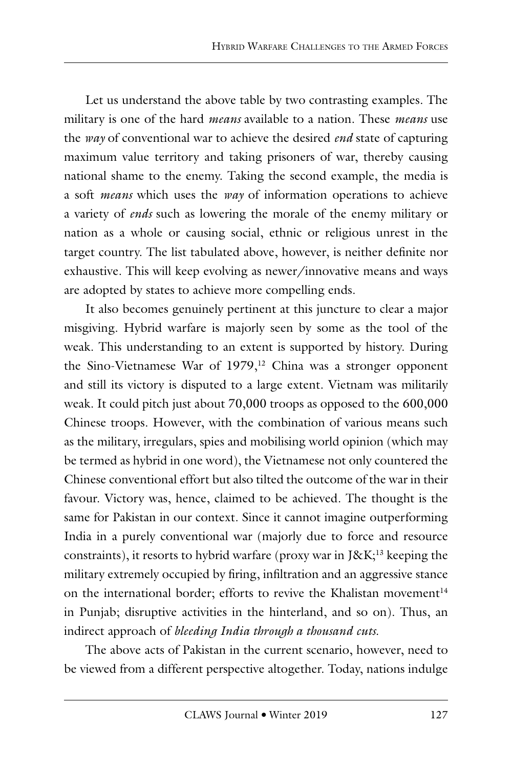Let us understand the above table by two contrasting examples. The military is one of the hard *means* available to a nation. These *means* use the *way* of conventional war to achieve the desired *end* state of capturing maximum value territory and taking prisoners of war, thereby causing national shame to the enemy. Taking the second example, the media is a soft *means* which uses the *way* of information operations to achieve a variety of *ends* such as lowering the morale of the enemy military or nation as a whole or causing social, ethnic or religious unrest in the target country. The list tabulated above, however, is neither definite nor exhaustive. This will keep evolving as newer/innovative means and ways are adopted by states to achieve more compelling ends.

It also becomes genuinely pertinent at this juncture to clear a major misgiving. Hybrid warfare is majorly seen by some as the tool of the weak. This understanding to an extent is supported by history. During the Sino-Vietnamese War of 1979,<sup>12</sup> China was a stronger opponent and still its victory is disputed to a large extent. Vietnam was militarily weak. It could pitch just about 70,000 troops as opposed to the 600,000 Chinese troops. However, with the combination of various means such as the military, irregulars, spies and mobilising world opinion (which may be termed as hybrid in one word), the Vietnamese not only countered the Chinese conventional effort but also tilted the outcome of the war in their favour. Victory was, hence, claimed to be achieved. The thought is the same for Pakistan in our context. Since it cannot imagine outperforming India in a purely conventional war (majorly due to force and resource constraints), it resorts to hybrid warfare (proxy war in J&K $^{13}$  keeping the military extremely occupied by firing, infiltration and an aggressive stance on the international border; efforts to revive the Khalistan movement<sup>14</sup> in Punjab; disruptive activities in the hinterland, and so on). Thus, an indirect approach of *bleeding India through a thousand cuts*.

The above acts of Pakistan in the current scenario, however, need to be viewed from a different perspective altogether. Today, nations indulge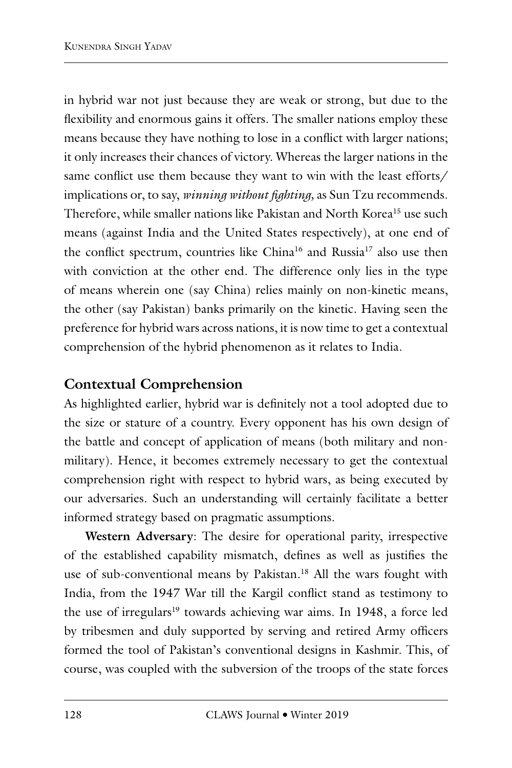in hybrid war not just because they are weak or strong, but due to the flexibility and enormous gains it offers. The smaller nations employ these means because they have nothing to lose in a conflict with larger nations; it only increases their chances of victory. Whereas the larger nations in the same conflict use them because they want to win with the least efforts/ implications or, to say, *winning without fighting,* as Sun Tzu recommends. Therefore, while smaller nations like Pakistan and North Korea<sup>15</sup> use such means (against India and the United States respectively), at one end of the conflict spectrum, countries like China<sup>16</sup> and Russia<sup>17</sup> also use then with conviction at the other end. The difference only lies in the type of means wherein one (say China) relies mainly on non-kinetic means, the other (say Pakistan) banks primarily on the kinetic. Having seen the preference for hybrid wars across nations, it is now time to get a contextual comprehension of the hybrid phenomenon as it relates to India.

# **Contextual Comprehension**

As highlighted earlier, hybrid war is definitely not a tool adopted due to the size or stature of a country. Every opponent has his own design of the battle and concept of application of means (both military and nonmilitary). Hence, it becomes extremely necessary to get the contextual comprehension right with respect to hybrid wars, as being executed by our adversaries. Such an understanding will certainly facilitate a better informed strategy based on pragmatic assumptions.

**Western Adversary**: The desire for operational parity, irrespective of the established capability mismatch, defines as well as justifies the use of sub-conventional means by Pakistan.<sup>18</sup> All the wars fought with India, from the 1947 War till the Kargil conflict stand as testimony to the use of irregulars<sup>19</sup> towards achieving war aims. In 1948, a force led by tribesmen and duly supported by serving and retired Army officers formed the tool of Pakistan's conventional designs in Kashmir. This, of course, was coupled with the subversion of the troops of the state forces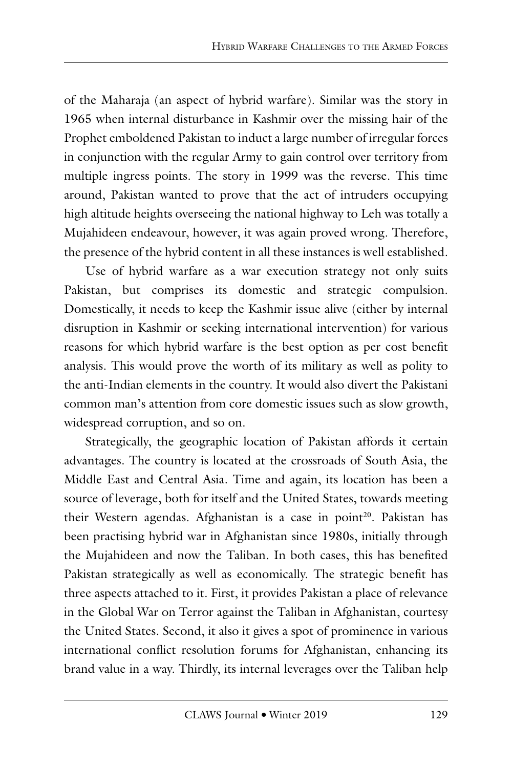of the Maharaja (an aspect of hybrid warfare). Similar was the story in 1965 when internal disturbance in Kashmir over the missing hair of the Prophet emboldened Pakistan to induct a large number of irregular forces in conjunction with the regular Army to gain control over territory from multiple ingress points. The story in 1999 was the reverse. This time around, Pakistan wanted to prove that the act of intruders occupying high altitude heights overseeing the national highway to Leh was totally a Mujahideen endeavour, however, it was again proved wrong. Therefore, the presence of the hybrid content in all these instances is well established.

Use of hybrid warfare as a war execution strategy not only suits Pakistan, but comprises its domestic and strategic compulsion. Domestically, it needs to keep the Kashmir issue alive (either by internal disruption in Kashmir or seeking international intervention) for various reasons for which hybrid warfare is the best option as per cost benefit analysis. This would prove the worth of its military as well as polity to the anti-Indian elements in the country. It would also divert the Pakistani common man's attention from core domestic issues such as slow growth, widespread corruption, and so on.

Strategically, the geographic location of Pakistan affords it certain advantages. The country is located at the crossroads of South Asia, the Middle East and Central Asia. Time and again, its location has been a source of leverage, both for itself and the United States, towards meeting their Western agendas. Afghanistan is a case in point<sup>20</sup>. Pakistan has been practising hybrid war in Afghanistan since 1980s, initially through the Mujahideen and now the Taliban. In both cases, this has benefited Pakistan strategically as well as economically. The strategic benefit has three aspects attached to it. First, it provides Pakistan a place of relevance in the Global War on Terror against the Taliban in Afghanistan, courtesy the United States. Second, it also it gives a spot of prominence in various international conflict resolution forums for Afghanistan, enhancing its brand value in a way. Thirdly, its internal leverages over the Taliban help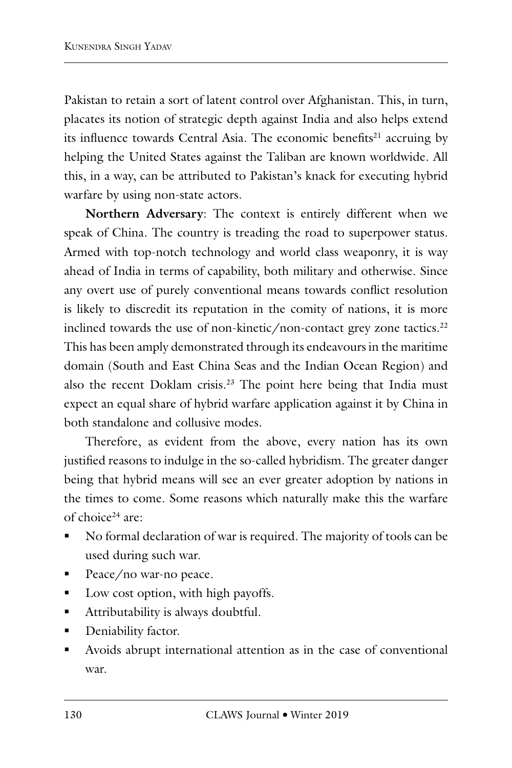Pakistan to retain a sort of latent control over Afghanistan. This, in turn, placates its notion of strategic depth against India and also helps extend its influence towards Central Asia. The economic benefits<sup>21</sup> accruing by helping the United States against the Taliban are known worldwide. All this, in a way, can be attributed to Pakistan's knack for executing hybrid warfare by using non-state actors.

**Northern Adversary**: The context is entirely different when we speak of China. The country is treading the road to superpower status. Armed with top-notch technology and world class weaponry, it is way ahead of India in terms of capability, both military and otherwise. Since any overt use of purely conventional means towards conflict resolution is likely to discredit its reputation in the comity of nations, it is more inclined towards the use of non-kinetic/non-contact grey zone tactics. $^{22}$ This has been amply demonstrated through its endeavours in the maritime domain (South and East China Seas and the Indian Ocean Region) and also the recent Doklam crisis.<sup>23</sup> The point here being that India must expect an equal share of hybrid warfare application against it by China in both standalone and collusive modes.

Therefore, as evident from the above, every nation has its own justified reasons to indulge in the so-called hybridism. The greater danger being that hybrid means will see an ever greater adoption by nations in the times to come. Some reasons which naturally make this the warfare of choice<sup>24</sup> are:

- No formal declaration of war is required. The majority of tools can be used during such war.
- Peace/no war-no peace.
- Low cost option, with high payoffs.
- Attributability is always doubtful.
- **Deniability factor.**
- Avoids abrupt international attention as in the case of conventional war.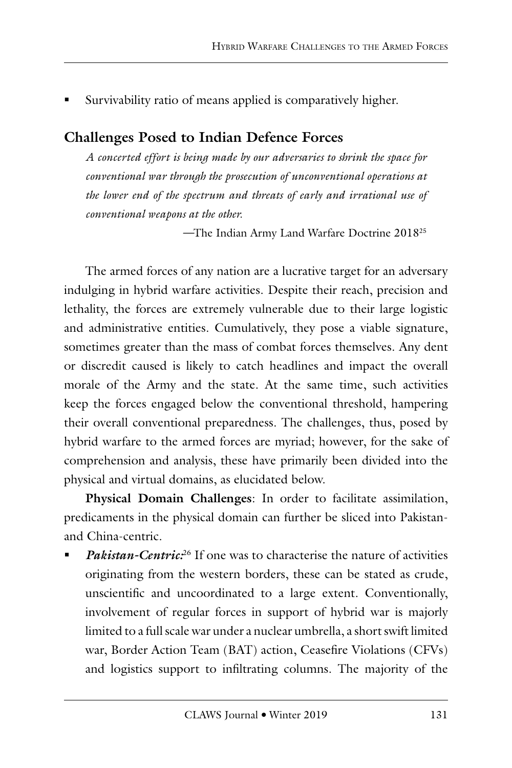Survivability ratio of means applied is comparatively higher.

# **Challenges Posed to Indian Defence Forces**

*A concerted effort is being made by our adversaries to shrink the space for conventional war through the prosecution of unconventional operations at the lower end of the spectrum and threats of early and irrational use of conventional weapons at the other.* 

*—*The Indian Army Land Warfare Doctrine 201825

The armed forces of any nation are a lucrative target for an adversary indulging in hybrid warfare activities. Despite their reach, precision and lethality, the forces are extremely vulnerable due to their large logistic and administrative entities. Cumulatively, they pose a viable signature, sometimes greater than the mass of combat forces themselves. Any dent or discredit caused is likely to catch headlines and impact the overall morale of the Army and the state. At the same time, such activities keep the forces engaged below the conventional threshold, hampering their overall conventional preparedness. The challenges, thus, posed by hybrid warfare to the armed forces are myriad; however, for the sake of comprehension and analysis, these have primarily been divided into the physical and virtual domains, as elucidated below.

**Physical Domain Challenges**: In order to facilitate assimilation, predicaments in the physical domain can further be sliced into Pakistanand China-centric.

 *Pakistan-Centric:*26 If one was to characterise the nature of activities originating from the western borders, these can be stated as crude, unscientific and uncoordinated to a large extent. Conventionally, involvement of regular forces in support of hybrid war is majorly limited to a full scale war under a nuclear umbrella, a short swift limited war, Border Action Team (BAT) action, Ceasefire Violations (CFVs) and logistics support to infiltrating columns. The majority of the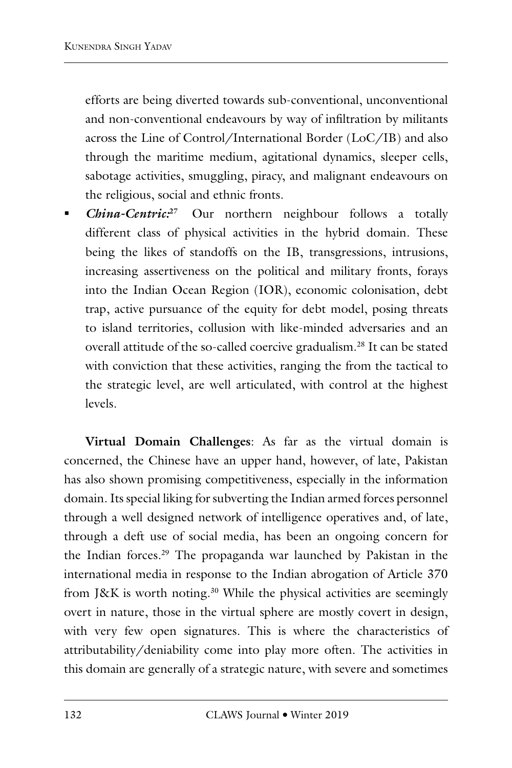efforts are being diverted towards sub-conventional, unconventional and non-conventional endeavours by way of infiltration by militants across the Line of Control/International Border (LoC/IB) and also through the maritime medium, agitational dynamics, sleeper cells, sabotage activities, smuggling, piracy, and malignant endeavours on the religious, social and ethnic fronts.

 *China-Centric:***<sup>27</sup>** Our northern neighbour follows a totally different class of physical activities in the hybrid domain. These being the likes of standoffs on the IB, transgressions, intrusions, increasing assertiveness on the political and military fronts, forays into the Indian Ocean Region (IOR), economic colonisation, debt trap, active pursuance of the equity for debt model, posing threats to island territories, collusion with like-minded adversaries and an overall attitude of the so-called coercive gradualism.28 It can be stated with conviction that these activities, ranging the from the tactical to the strategic level, are well articulated, with control at the highest levels.

**Virtual Domain Challenges**: As far as the virtual domain is concerned, the Chinese have an upper hand, however, of late, Pakistan has also shown promising competitiveness, especially in the information domain. Its special liking for subverting the Indian armed forces personnel through a well designed network of intelligence operatives and, of late, through a deft use of social media, has been an ongoing concern for the Indian forces.29 The propaganda war launched by Pakistan in the international media in response to the Indian abrogation of Article 370 from J&K is worth noting.<sup>30</sup> While the physical activities are seemingly overt in nature, those in the virtual sphere are mostly covert in design, with very few open signatures. This is where the characteristics of attributability/deniability come into play more often. The activities in this domain are generally of a strategic nature, with severe and sometimes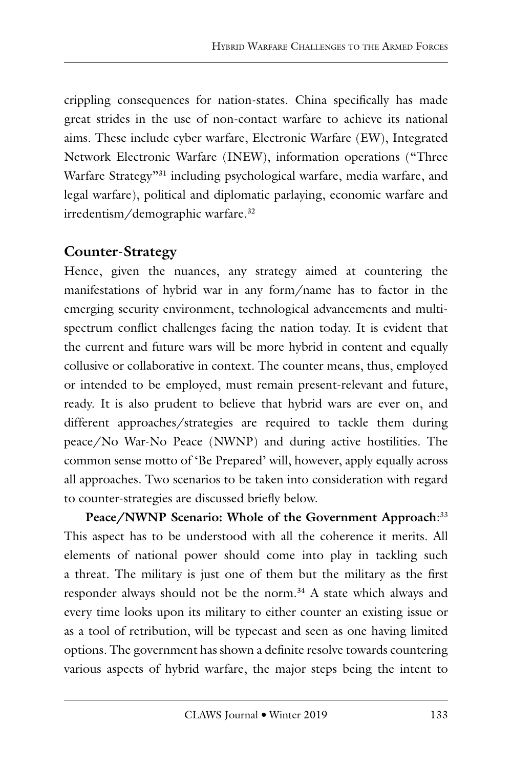crippling consequences for nation-states. China specifically has made great strides in the use of non-contact warfare to achieve its national aims. These include cyber warfare, Electronic Warfare (EW), Integrated Network Electronic Warfare (INEW), information operations ("Three Warfare Strategy"31 including psychological warfare, media warfare, and legal warfare), political and diplomatic parlaying, economic warfare and irredentism/demographic warfare.32

# **Counter-Strategy**

Hence, given the nuances, any strategy aimed at countering the manifestations of hybrid war in any form/name has to factor in the emerging security environment, technological advancements and multispectrum conflict challenges facing the nation today. It is evident that the current and future wars will be more hybrid in content and equally collusive or collaborative in context. The counter means, thus, employed or intended to be employed, must remain present-relevant and future, ready. It is also prudent to believe that hybrid wars are ever on, and different approaches/strategies are required to tackle them during peace/No War-No Peace (NWNP) and during active hostilities. The common sense motto of 'Be Prepared' will, however, apply equally across all approaches. Two scenarios to be taken into consideration with regard to counter-strategies are discussed briefly below.

**Peace/NWNP Scenario: Whole of the Government Approach**: 33 This aspect has to be understood with all the coherence it merits. All elements of national power should come into play in tackling such a threat. The military is just one of them but the military as the first responder always should not be the norm.<sup>34</sup> A state which always and every time looks upon its military to either counter an existing issue or as a tool of retribution, will be typecast and seen as one having limited options. The government has shown a definite resolve towards countering various aspects of hybrid warfare, the major steps being the intent to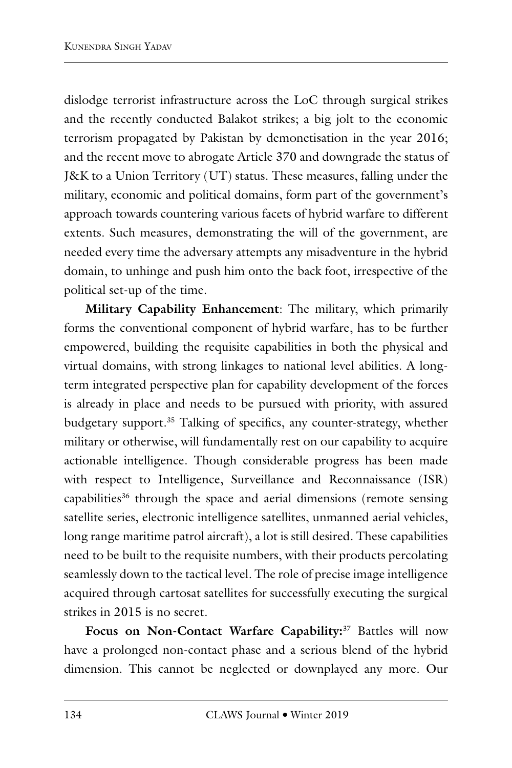dislodge terrorist infrastructure across the LoC through surgical strikes and the recently conducted Balakot strikes; a big jolt to the economic terrorism propagated by Pakistan by demonetisation in the year 2016; and the recent move to abrogate Article 370 and downgrade the status of J&K to a Union Territory (UT) status. These measures, falling under the military, economic and political domains, form part of the government's approach towards countering various facets of hybrid warfare to different extents. Such measures, demonstrating the will of the government, are needed every time the adversary attempts any misadventure in the hybrid domain, to unhinge and push him onto the back foot, irrespective of the political set-up of the time.

**Military Capability Enhancement**: The military, which primarily forms the conventional component of hybrid warfare, has to be further empowered, building the requisite capabilities in both the physical and virtual domains, with strong linkages to national level abilities. A longterm integrated perspective plan for capability development of the forces is already in place and needs to be pursued with priority, with assured budgetary support.35 Talking of specifics, any counter-strategy, whether military or otherwise, will fundamentally rest on our capability to acquire actionable intelligence. Though considerable progress has been made with respect to Intelligence, Surveillance and Reconnaissance (ISR) capabilities<sup>36</sup> through the space and aerial dimensions (remote sensing satellite series, electronic intelligence satellites, unmanned aerial vehicles, long range maritime patrol aircraft), a lot is still desired. These capabilities need to be built to the requisite numbers, with their products percolating seamlessly down to the tactical level. The role of precise image intelligence acquired through cartosat satellites for successfully executing the surgical strikes in 2015 is no secret.

**Focus on Non-Contact Warfare Capability:**37 Battles will now have a prolonged non-contact phase and a serious blend of the hybrid dimension. This cannot be neglected or downplayed any more. Our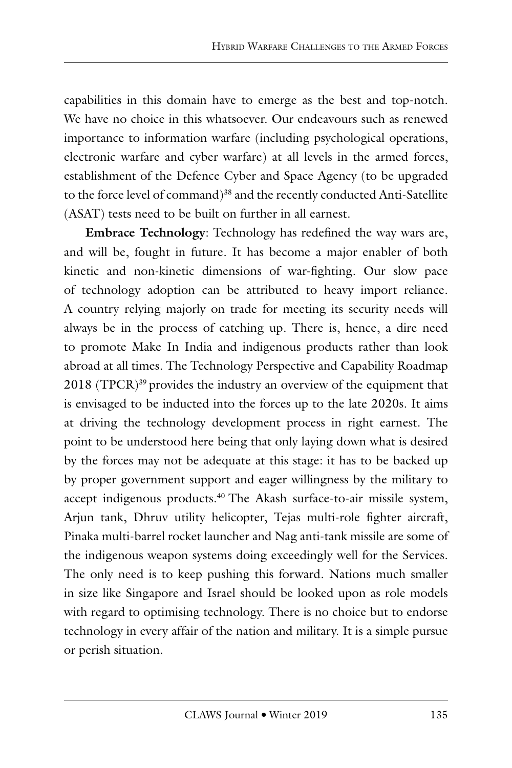capabilities in this domain have to emerge as the best and top-notch. We have no choice in this whatsoever. Our endeavours such as renewed importance to information warfare (including psychological operations, electronic warfare and cyber warfare) at all levels in the armed forces, establishment of the Defence Cyber and Space Agency (to be upgraded to the force level of command)<sup>38</sup> and the recently conducted Anti-Satellite (ASAT) tests need to be built on further in all earnest.

**Embrace Technology**: Technology has redefined the way wars are, and will be, fought in future. It has become a major enabler of both kinetic and non-kinetic dimensions of war-fighting. Our slow pace of technology adoption can be attributed to heavy import reliance. A country relying majorly on trade for meeting its security needs will always be in the process of catching up. There is, hence, a dire need to promote Make In India and indigenous products rather than look abroad at all times. The Technology Perspective and Capability Roadmap 2018 (TPCR)<sup>39</sup> provides the industry an overview of the equipment that is envisaged to be inducted into the forces up to the late 2020s. It aims at driving the technology development process in right earnest. The point to be understood here being that only laying down what is desired by the forces may not be adequate at this stage: it has to be backed up by proper government support and eager willingness by the military to accept indigenous products.<sup>40</sup> The Akash surface-to-air missile system, Arjun tank, Dhruv utility helicopter, Tejas multi-role fighter aircraft, Pinaka multi-barrel rocket launcher and Nag anti-tank missile are some of the indigenous weapon systems doing exceedingly well for the Services. The only need is to keep pushing this forward. Nations much smaller in size like Singapore and Israel should be looked upon as role models with regard to optimising technology. There is no choice but to endorse technology in every affair of the nation and military. It is a simple pursue or perish situation.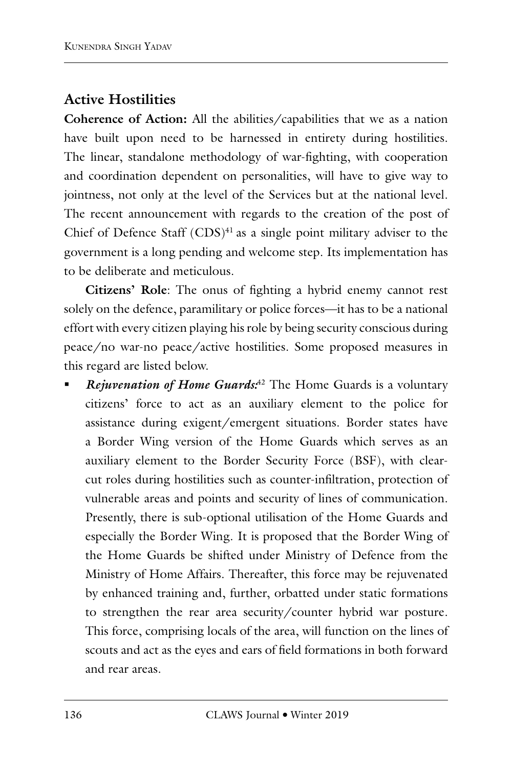## **Active Hostilities**

**Coherence of Action:** All the abilities/capabilities that we as a nation have built upon need to be harnessed in entirety during hostilities. The linear, standalone methodology of war-fighting, with cooperation and coordination dependent on personalities, will have to give way to jointness, not only at the level of the Services but at the national level. The recent announcement with regards to the creation of the post of Chief of Defence Staff  $(CDS)^{41}$  as a single point military adviser to the government is a long pending and welcome step. Its implementation has to be deliberate and meticulous.

**Citizens' Role**: The onus of fighting a hybrid enemy cannot rest solely on the defence, paramilitary or police forces—it has to be a national effort with every citizen playing his role by being security conscious during peace/no war-no peace/active hostilities. Some proposed measures in this regard are listed below.

 *Rejuvenation of Home Guards:*42 The Home Guards is a voluntary citizens' force to act as an auxiliary element to the police for assistance during exigent/emergent situations. Border states have a Border Wing version of the Home Guards which serves as an auxiliary element to the Border Security Force (BSF), with clearcut roles during hostilities such as counter-infiltration, protection of vulnerable areas and points and security of lines of communication. Presently, there is sub-optional utilisation of the Home Guards and especially the Border Wing. It is proposed that the Border Wing of the Home Guards be shifted under Ministry of Defence from the Ministry of Home Affairs. Thereafter, this force may be rejuvenated by enhanced training and, further, orbatted under static formations to strengthen the rear area security/counter hybrid war posture. This force, comprising locals of the area, will function on the lines of scouts and act as the eyes and ears of field formations in both forward and rear areas.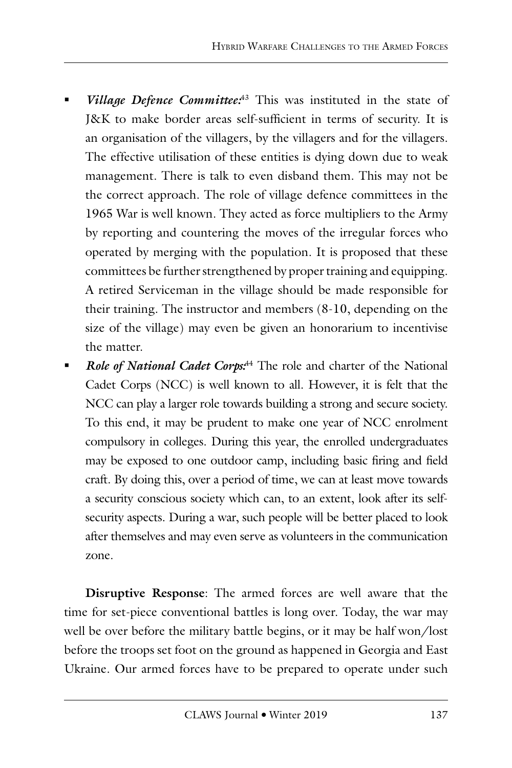- *Village Defence Committee:*43 This was instituted in the state of J&K to make border areas self-sufficient in terms of security. It is an organisation of the villagers, by the villagers and for the villagers. The effective utilisation of these entities is dying down due to weak management. There is talk to even disband them. This may not be the correct approach. The role of village defence committees in the 1965 War is well known. They acted as force multipliers to the Army by reporting and countering the moves of the irregular forces who operated by merging with the population. It is proposed that these committees be further strengthened by proper training and equipping. A retired Serviceman in the village should be made responsible for their training. The instructor and members (8-10, depending on the size of the village) may even be given an honorarium to incentivise the matter.
- *Role of National Cadet Corps:*44 The role and charter of the National Cadet Corps (NCC) is well known to all. However, it is felt that the NCC can play a larger role towards building a strong and secure society. To this end, it may be prudent to make one year of NCC enrolment compulsory in colleges. During this year, the enrolled undergraduates may be exposed to one outdoor camp, including basic firing and field craft. By doing this, over a period of time, we can at least move towards a security conscious society which can, to an extent, look after its selfsecurity aspects. During a war, such people will be better placed to look after themselves and may even serve as volunteers in the communication zone.

**Disruptive Response**: The armed forces are well aware that the time for set-piece conventional battles is long over. Today, the war may well be over before the military battle begins, or it may be half won/lost before the troops set foot on the ground as happened in Georgia and East Ukraine. Our armed forces have to be prepared to operate under such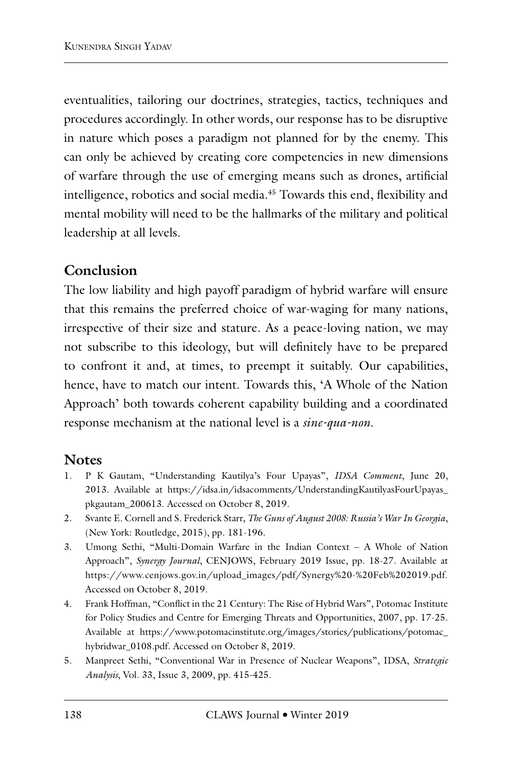eventualities, tailoring our doctrines, strategies, tactics, techniques and procedures accordingly. In other words, our response has to be disruptive in nature which poses a paradigm not planned for by the enemy. This can only be achieved by creating core competencies in new dimensions of warfare through the use of emerging means such as drones, artificial intelligence, robotics and social media.45 Towards this end, flexibility and mental mobility will need to be the hallmarks of the military and political leadership at all levels.

## **Conclusion**

The low liability and high payoff paradigm of hybrid warfare will ensure that this remains the preferred choice of war-waging for many nations, irrespective of their size and stature. As a peace-loving nation, we may not subscribe to this ideology, but will definitely have to be prepared to confront it and, at times, to preempt it suitably. Our capabilities, hence, have to match our intent. Towards this, 'A Whole of the Nation Approach' both towards coherent capability building and a coordinated response mechanism at the national level is a *sine-qua-non*.

### **Notes**

- 1. P K Gautam, "Understanding Kautilya's Four Upayas", *IDSA Comment*, June 20, 2013. Available at https://idsa.in/idsacomments/UnderstandingKautilyasFourUpayas\_ pkgautam\_200613. Accessed on October 8, 2019.
- 2. Svante E. Cornell and S. Frederick Starr, *The Guns of August 2008: Russia's War In Georgia*, (New York: Routledge, 2015), pp. 181-196.
- 3. Umong Sethi, "Multi-Domain Warfare in the Indian Context A Whole of Nation Approach", *Synergy Journal*, CENJOWS, February 2019 Issue, pp. 18-27. Available at https://www.cenjows.gov.in/upload\_images/pdf/Synergy%20-%20Feb%202019.pdf. Accessed on October 8, 2019.
- 4. Frank Hoffman, "Conflict in the 21 Century: The Rise of Hybrid Wars", Potomac Institute for Policy Studies and Centre for Emerging Threats and Opportunities, 2007, pp. 17-25. Available at https://www.potomacinstitute.org/images/stories/publications/potomac\_ hybridwar\_0108.pdf. Accessed on October 8, 2019.
- 5. Manpreet Sethi, "Conventional War in Presence of Nuclear Weapons", IDSA, *Strategic Analysis*, Vol. 33, Issue 3, 2009, pp. 415-425.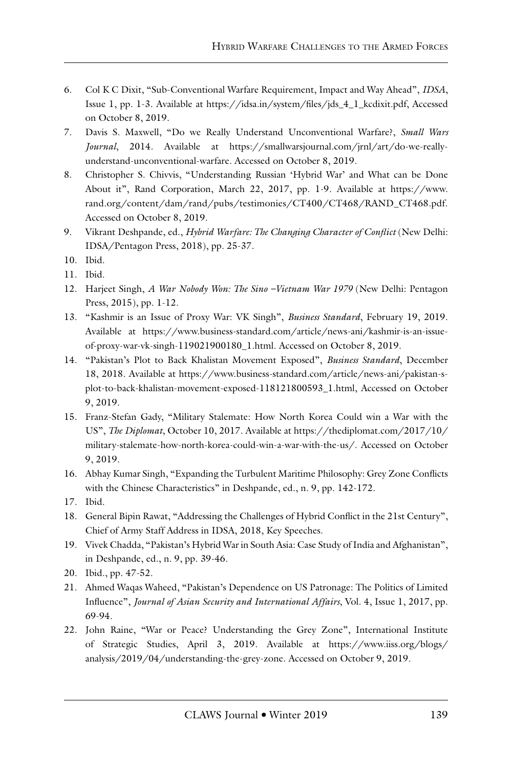- 6. Col K C Dixit, "Sub-Conventional Warfare Requirement, Impact and Way Ahead", *IDSA*, Issue 1, pp. 1-3. Available at https://idsa.in/system/files/jds\_4\_1\_kcdixit.pdf, Accessed on October 8, 2019.
- 7. Davis S. Maxwell, "Do we Really Understand Unconventional Warfare?, *Small Wars Journal*, 2014. Available at https://smallwarsjournal.com/jrnl/art/do-we-reallyunderstand-unconventional-warfare. Accessed on October 8, 2019.
- 8. Christopher S. Chivvis, "Understanding Russian 'Hybrid War' and What can be Done About it", Rand Corporation, March 22, 2017, pp. 1-9. Available at https://www. rand.org/content/dam/rand/pubs/testimonies/CT400/CT468/RAND\_CT468.pdf. Accessed on October 8, 2019.
- 9. Vikrant Deshpande, ed., *Hybrid Warfare: The Changing Character of Conflict* (New Delhi: IDSA/Pentagon Press, 2018), pp. 25-37.
- 10. Ibid.
- 11. Ibid.
- 12. Harjeet Singh, *A War Nobody Won: The Sino –Vietnam War 1979* (New Delhi: Pentagon Press, 2015), pp. 1-12.
- 13. "Kashmir is an Issue of Proxy War: VK Singh", *Business Standard*, February 19, 2019. Available at https://www.business-standard.com/article/news-ani/kashmir-is-an-issueof-proxy-war-vk-singh-119021900180\_1.html. Accessed on October 8, 2019.
- 14. "Pakistan's Plot to Back Khalistan Movement Exposed", *Business Standard*, December 18, 2018. Available at https://www.business-standard.com/article/news-ani/pakistan-splot-to-back-khalistan-movement-exposed-118121800593\_1.html, Accessed on October 9, 2019.
- 15. Franz-Stefan Gady, "Military Stalemate: How North Korea Could win a War with the US", *The Diplomat*, October 10, 2017. Available at https://thediplomat.com/2017/10/ military-stalemate-how-north-korea-could-win-a-war-with-the-us/. Accessed on October 9, 2019.
- 16. Abhay Kumar Singh, "Expanding the Turbulent Maritime Philosophy: Grey Zone Conflicts with the Chinese Characteristics" in Deshpande, ed., n. 9, pp. 142-172.
- 17. Ibid.
- 18. General Bipin Rawat, "Addressing the Challenges of Hybrid Conflict in the 21st Century", Chief of Army Staff Address in IDSA, 2018, Key Speeches.
- 19. Vivek Chadda, "Pakistan's Hybrid War in South Asia: Case Study of India and Afghanistan", in Deshpande, ed., n. 9, pp. 39-46.
- 20. Ibid., pp. 47-52.
- 21. Ahmed Waqas Waheed, "Pakistan's Dependence on US Patronage: The Politics of Limited Influence", *Journal of Asian Security and International Affairs*, Vol. 4, Issue 1, 2017, pp. 69-94.
- 22. John Raine, "War or Peace? Understanding the Grey Zone", International Institute of Strategic Studies, April 3, 2019. Available at https://www.iiss.org/blogs/ analysis/2019/04/understanding-the-grey-zone. Accessed on October 9, 2019.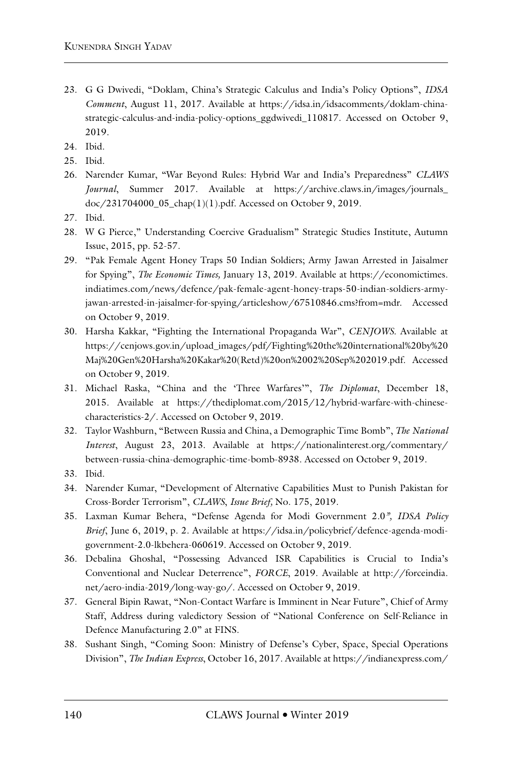- 23. G G Dwivedi, "Doklam, China's Strategic Calculus and India's Policy Options", *IDSA Comment*, August 11, 2017. Available at https://idsa.in/idsacomments/doklam-chinastrategic-calculus-and-india-policy-options\_ggdwivedi\_110817. Accessed on October 9, 2019.
- 24. Ibid.
- 25. Ibid.
- 26. Narender Kumar, "War Beyond Rules: Hybrid War and India's Preparedness" *CLAWS Journal*, Summer 2017. Available at https://archive.claws.in/images/journals\_ doc/231704000\_05\_chap(1)(1).pdf. Accessed on October 9, 2019.
- 27. Ibid.
- 28. W G Pierce," Understanding Coercive Gradualism" Strategic Studies Institute, Autumn Issue, 2015, pp. 52-57.
- 29. "Pak Female Agent Honey Traps 50 Indian Soldiers; Army Jawan Arrested in Jaisalmer for Spying", *The Economic Times,* January 13, 2019. Available at https://economictimes. indiatimes.com/news/defence/pak-female-agent-honey-traps-50-indian-soldiers-armyjawan-arrested-in-jaisalmer-for-spying/articleshow/67510846.cms?from=mdr. Accessed on October 9, 2019.
- 30. Harsha Kakkar, "Fighting the International Propaganda War", *CENJOWS*. Available at https://cenjows.gov.in/upload\_images/pdf/Fighting%20the%20international%20by%20 Maj%20Gen%20Harsha%20Kakar%20(Retd)%20on%2002%20Sep%202019.pdf. Accessed on October 9, 2019.
- 31. Michael Raska, "China and the 'Three Warfares'", *The Diplomat*, December 18, 2015. Available at https://thediplomat.com/2015/12/hybrid-warfare-with-chinesecharacteristics-2/. Accessed on October 9, 2019.
- 32. Taylor Washburn, "Between Russia and China, a Demographic Time Bomb", *The National Interest*, August 23, 2013. Available at https://nationalinterest.org/commentary/ between-russia-china-demographic-time-bomb-8938. Accessed on October 9, 2019.
- 33. Ibid.
- 34. Narender Kumar, "Development of Alternative Capabilities Must to Punish Pakistan for Cross-Border Terrorism", *CLAWS*, *Issue Brief,* No. 175, 2019.
- 35. Laxman Kumar Behera, "Defense Agenda for Modi Government 2.0*", IDSA Policy Brief*, June 6, 2019, p. 2. Available at https://idsa.in/policybrief/defence-agenda-modigovernment-2.0-lkbehera-060619. Accessed on October 9, 2019.
- 36. Debalina Ghoshal, "Possessing Advanced ISR Capabilities is Crucial to India's Conventional and Nuclear Deterrence", *FORCE*, 2019. Available at http://forceindia. net/aero-india-2019/long-way-go/. Accessed on October 9, 2019.
- 37. General Bipin Rawat, "Non-Contact Warfare is Imminent in Near Future", Chief of Army Staff, Address during valedictory Session of "National Conference on Self-Reliance in Defence Manufacturing 2.0" at FINS.
- 38. Sushant Singh, "Coming Soon: Ministry of Defense's Cyber, Space, Special Operations Division", *The Indian Express*, October 16, 2017. Available at https://indianexpress.com/